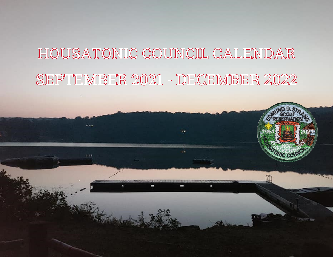# HOUSATONIC COUNCIL CALENDAR SEPTEMBER 2021 - DECEMBER 2022

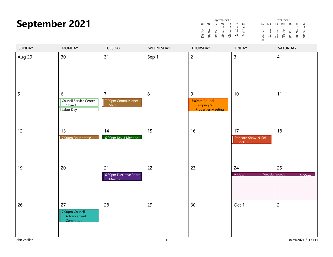|              | September 2021                                     |                                                |              | september zuz i<br>Su Mo Tu We Th Fr Sa<br>$\begin{array}{c}\n2 \\ 9 \\ 16 \\ 23 \\ 30\n\end{array}$<br>$\begin{array}{c} 6 \\ 13 \\ 20 \\ 27 \end{array}$<br>$\begin{array}{c} 7 \\ 14 \\ 21 \\ 28 \end{array}$<br>$\frac{8}{15}$<br>22<br>29<br>$\frac{5}{12}$<br>$\frac{12}{19}$<br>26 | $\begin{bmatrix} 10 & 11 \\ 17 & 18 \\ 24 & 25 \end{bmatrix}$<br>$\frac{3}{10}$<br>$\frac{17}{24}$<br>$\frac{24}{31}$<br>$\begin{array}{c} 4 \\ 11 \\ 18 \\ 25 \end{array}$ | OCTODEL SOS L<br>Su Mo Tu We Th Fr Sa<br>$\frac{2}{3}$<br>$\frac{16}{30}$<br>$\begin{array}{c} 5 \\ 12 \\ 19 \\ 26 \end{array}$<br>$\begin{array}{c} 6 \\ 13 \\ 20 \\ 27 \end{array}$<br>$\begin{array}{c} 7 \\ 14 \\ 21 \\ 28 \end{array}$<br>$\frac{8}{15}$<br>22<br>29 |
|--------------|----------------------------------------------------|------------------------------------------------|--------------|-------------------------------------------------------------------------------------------------------------------------------------------------------------------------------------------------------------------------------------------------------------------------------------------|-----------------------------------------------------------------------------------------------------------------------------------------------------------------------------|---------------------------------------------------------------------------------------------------------------------------------------------------------------------------------------------------------------------------------------------------------------------------|
| SUNDAY       | <b>MONDAY</b>                                      | TUESDAY                                        | WEDNESDAY    | THURSDAY                                                                                                                                                                                                                                                                                  | <b>FRIDAY</b>                                                                                                                                                               | SATURDAY                                                                                                                                                                                                                                                                  |
| Aug 29       | 30                                                 | 31                                             | Sep 1        | $\overline{2}$                                                                                                                                                                                                                                                                            | 3                                                                                                                                                                           | $\overline{4}$                                                                                                                                                                                                                                                            |
| 5            | 6<br>Council Service Center<br>Closed<br>Labor Day | $\overline{7}$<br>7:00pm Commissioner<br>Staff | 8            | 9<br>7:00pm Council<br>Camping &<br><b>Properties Meeting</b>                                                                                                                                                                                                                             | 10                                                                                                                                                                          | 11                                                                                                                                                                                                                                                                        |
| 12           | 13<br>7:00pm Roundtable                            | 14<br>6:00pm Key 3 Meeting                     | 15           | 16                                                                                                                                                                                                                                                                                        | 17<br>Popcorn Show-N-Sell<br>Pickup                                                                                                                                         | 18                                                                                                                                                                                                                                                                        |
| 19           | 20                                                 | 21<br>6:30pm Executive Board<br>Meeting        | 22           | 23                                                                                                                                                                                                                                                                                        | 24<br>$7:00 \text{nm}$                                                                                                                                                      | 25<br>Webelos Woods<br>5:00 <sub>nm</sub>                                                                                                                                                                                                                                 |
| 26           | 27<br>7:00pm Council<br>Advancement<br>Committee   | 28                                             | 29           | 30                                                                                                                                                                                                                                                                                        | Oct 1                                                                                                                                                                       | $\overline{c}$                                                                                                                                                                                                                                                            |
| John Zseller |                                                    |                                                | $\mathbf{1}$ |                                                                                                                                                                                                                                                                                           |                                                                                                                                                                             | 8/24/2021 3:17 PM                                                                                                                                                                                                                                                         |

September 2021

October 2021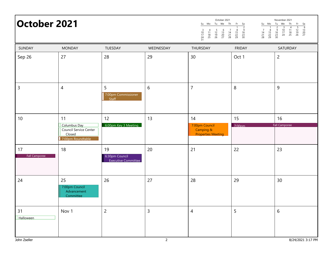| October 2021               |                                                                       |                                                    |                | October 2021<br>Su Mo Tu We Th<br>$\begin{array}{c} 6 \\ 13 \\ 20 \\ 27 \end{array}$<br>$\begin{array}{c} 7 \\ 14 \\ 21 \\ 28 \end{array}$<br>$\frac{5}{12}$<br>$\frac{12}{19}$<br>26<br>$\begin{array}{c} 4 \\ 11 \\ 18 \\ 25 \end{array}$<br>$\frac{3}{10}$<br>$\frac{17}{24}$<br>$\frac{24}{31}$ | Fr.<br>Sa<br>Su Mo<br>$\frac{2}{9}$<br>$\begin{array}{c} 7 \\ 14 \\ 21 \\ 28 \end{array}$<br>$\frac{8}{15}$<br>22<br>29<br>$\frac{8}{15}$<br>22<br>29<br>$\begin{array}{c} 16 \\ 23 \\ 30 \end{array}$ | November 2021<br>Tu We<br>Th<br>Fr<br>Sa<br>$\frac{6}{13}$<br>$\frac{20}{27}$<br>$\begin{array}{c}\n4 \\ 11 \\ 18 \\ 25\n\end{array}$<br>$\frac{5}{12}$<br>$\frac{12}{19}$<br>26<br>$\frac{2}{9}$<br>$\frac{16}{23}$<br>30<br>$\begin{array}{c}\n 3 \\  10 \\  17 \\  24\n\end{array}$ |
|----------------------------|-----------------------------------------------------------------------|----------------------------------------------------|----------------|-----------------------------------------------------------------------------------------------------------------------------------------------------------------------------------------------------------------------------------------------------------------------------------------------------|--------------------------------------------------------------------------------------------------------------------------------------------------------------------------------------------------------|----------------------------------------------------------------------------------------------------------------------------------------------------------------------------------------------------------------------------------------------------------------------------------------|
| SUNDAY                     | <b>MONDAY</b>                                                         | TUESDAY                                            | WEDNESDAY      | THURSDAY                                                                                                                                                                                                                                                                                            | <b>FRIDAY</b>                                                                                                                                                                                          | SATURDAY                                                                                                                                                                                                                                                                               |
| Sep 26                     | 27                                                                    | 28                                                 | 29             | 30                                                                                                                                                                                                                                                                                                  | Oct 1                                                                                                                                                                                                  | $\overline{c}$                                                                                                                                                                                                                                                                         |
| $\overline{3}$             | $\overline{4}$                                                        | 5<br>7:00pm Commissioner<br>Staff                  | 6              | $\overline{7}$                                                                                                                                                                                                                                                                                      | $\,8\,$                                                                                                                                                                                                | $\overline{9}$                                                                                                                                                                                                                                                                         |
| 10                         | 11                                                                    | 12                                                 | 13             | 14                                                                                                                                                                                                                                                                                                  | 15                                                                                                                                                                                                     | 16                                                                                                                                                                                                                                                                                     |
|                            | Columbus Day<br>Council Service Center<br>Closed<br>7:00pm Roundtable | 6:00pm Key 3 Meeting                               |                | 7:00pm Council<br>Camping &<br><b>Properties Meeting</b>                                                                                                                                                                                                                                            | 7:00 <sub>nm</sub>                                                                                                                                                                                     | <b>Fall Camporee</b>                                                                                                                                                                                                                                                                   |
| 17<br><b>Fall Camporee</b> | 18                                                                    | 19<br>6:30pm Council<br><b>Executive Committee</b> | 20             | 21                                                                                                                                                                                                                                                                                                  | 22                                                                                                                                                                                                     | 23                                                                                                                                                                                                                                                                                     |
| 24                         | 25<br>7:00pm Council<br>Advancement<br>Committee                      | 26                                                 | 27             | 28                                                                                                                                                                                                                                                                                                  | 29                                                                                                                                                                                                     | 30                                                                                                                                                                                                                                                                                     |
| 31<br>Halloween            | Nov 1                                                                 | $\overline{c}$                                     | $\overline{3}$ | $\overline{4}$                                                                                                                                                                                                                                                                                      | 5                                                                                                                                                                                                      | 6                                                                                                                                                                                                                                                                                      |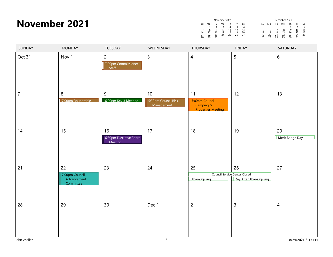## Su Mo Tu We Th Fr Sa 1 2 3 4 5 6<br>7 8 9 10 11 12 13<br>14 15 16 17 18 19 20<br>21 22 23 24 25 26 27<br>28 29 30  $\ddot{\phantom{0}}$ November 2021Su Mo Tu We Th  $Fr$  Sa 1234.<br>ا 5 6 7 8 9 10 11<br>12 13 14 15 16 17 18<br>19 20 21 22 29 30 31 December 2021**November 2021** Surve The Free Second Surve The Free Second Survey To November 2021 Oct 31 Nov 1 2 3 4 5 6 7:00pm Commissioner Staff 77 13 | 8 | 9 | 10 | 11 | 11 | 12 | 13 7:00pm Roundtable 6:00pm Key 3 Meeting 5:30pm Council Risk Management 7:00pm Council Camping & Properties Meeting 144 15 16 17 18 19 20 6:30pm Executive Board Meeting **Merit Badge Day** 211 22 23 24 25 26 27 27 7:00pm Council Advancement **Committee** Council Service Center ClosedThanksgiving **Day After Thanksgiving** 28 29 30 Dec 1 2 3 4 SUNDAY MONDAY TUESDAY WEDNESDAY THURSDAY FRIDAY SATURDAY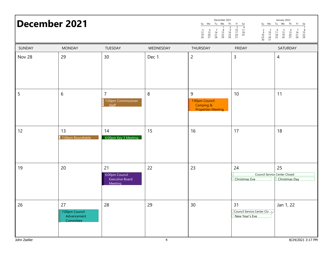## Su Mo Tu We Th Fr Sa 1234 5 6 7 8 9 10 11 12 13 14 15 16 17 18 19 20 21 22 23 24 25 26 27 28 29 30 31 December 2021<br>Su Mo Tu We Th December 2021 anually 2022 and the second of  $\frac{S_u \text{ Mo } \text{Tu} \text{ We } \text{Th } \text{Fr } S_d}{\frac{S_u \text{ Mo } \text{Tu } \text{We } \text{Th } \text{Fr } S_d}{\frac{S_u \text{ Mo } \text{Tu } \text{We } \text{Th } \text{We } \text{Tu } \text{We } \text{Tu } \text{We } \text{Tu } \text{We } \text{Tu } \text{We } \text{Tu } \text{We } \text{Tu } \text{We } \text{Tu } \text{We } \text{Tu } \text{We$

| SUNDAY | <b>MONDAY</b>                                    | TUESDAY                                                   | WEDNESDAY | THURSDAY                                                      | <b>FRIDAY</b>                                        | SATURDAY                                                           |
|--------|--------------------------------------------------|-----------------------------------------------------------|-----------|---------------------------------------------------------------|------------------------------------------------------|--------------------------------------------------------------------|
| Nov 28 | 29                                               | 30                                                        | Dec 1     | $\overline{c}$                                                | $\mathsf{3}$                                         | $\overline{4}$                                                     |
| 5      | $6\,$                                            | $\overline{7}$<br>7:00pm Commissioner<br>Staff            | 8         | 9<br>7:00pm Council<br>Camping &<br><b>Properties Meeting</b> | $10\,$                                               | 11                                                                 |
| 12     | 13<br>7:00pm Roundtable                          | 14<br>6:00pm Key 3 Meeting                                | 15        | 16                                                            | 17                                                   | 18                                                                 |
| 19     | 20                                               | 21<br>6:00pm Council<br><b>Executive Board</b><br>Meeting | 22        | 23                                                            | 24<br>Christmas Eve                                  | 25<br><b>Council Service Center Closed</b><br><b>Christmas Day</b> |
| 26     | 27<br>7:00pm Council<br>Advancement<br>Committee | 28                                                        | 29        | 30                                                            | 31<br>Council Service Center Clo ><br>New Year's Eve | Jan 1, 22                                                          |

Su Mo Tu We Th Fr Sa

1 2345678 9 10 11 12 13 14 15 16 17 18 19 20 21 22 23 24 25 26 27 28 29 30 31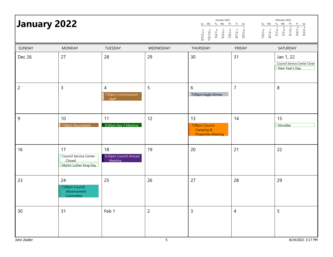|                    | January 2022                                                     |                                                |                     | January 2022<br>Su Mo Tu We Th<br>$\begin{array}{ccc} 2 & 3 \\ 9 & 10 \\ 16 & 17 \\ 23 & 24 \\ 30 & 31 \end{array}$<br>$\frac{5}{12}$<br>$\frac{12}{19}$<br>26<br>$\begin{array}{c} 6 \\ 13 \\ 20 \\ 27 \end{array}$<br>$\begin{array}{c} 4 \\ 11 \\ 18 \\ 25 \end{array}$ | Fr Sa<br>$\begin{array}{c} 7 \\ 14 \\ 21 \\ 28 \end{array}$<br>$\frac{8}{15}$<br>22<br>29 | February 2022<br>Su Mo<br>Th<br>Tu We<br>Fr<br>$\begin{array}{r} 5a \\ \hline 5 \\ 12 \\ 19 \\ 26 \end{array}$<br>$\begin{array}{c}\n2 \\ 9 \\ 16 \\ 23\n\end{array}$<br>$\begin{array}{c}\n 3 \\  10 \\  17 \\  24\n\end{array}$<br>$\begin{array}{c} 4 \\ 11 \\ 18 \\ 25 \end{array}$<br>$\begin{array}{c} 6 \\ 13 \\ 20 \\ 27 \end{array}$<br>$\begin{array}{c} 7 \\ 14 \\ 21 \\ 28 \end{array}$<br>$\begin{array}{c} 8 \\ 15 \\ 22 \end{array}$ |
|--------------------|------------------------------------------------------------------|------------------------------------------------|---------------------|----------------------------------------------------------------------------------------------------------------------------------------------------------------------------------------------------------------------------------------------------------------------------|-------------------------------------------------------------------------------------------|-----------------------------------------------------------------------------------------------------------------------------------------------------------------------------------------------------------------------------------------------------------------------------------------------------------------------------------------------------------------------------------------------------------------------------------------------------|
| SUNDAY             | <b>MONDAY</b>                                                    | TUESDAY                                        | WEDNESDAY           | THURSDAY                                                                                                                                                                                                                                                                   | <b>FRIDAY</b>                                                                             | SATURDAY                                                                                                                                                                                                                                                                                                                                                                                                                                            |
| Dec 26             | 27                                                               | 28                                             | 29                  | 30                                                                                                                                                                                                                                                                         | 31                                                                                        | Jan 1, 22<br>Council Service Center Close<br>New Year's Day                                                                                                                                                                                                                                                                                                                                                                                         |
| $\overline{c}$     | $\mathsf{3}$                                                     | $\overline{4}$<br>7:00pm Commissioner<br>Staff | 5                   | 6<br>7:00pm Eagle Dinner                                                                                                                                                                                                                                                   | $\overline{7}$                                                                            | $\,8\,$                                                                                                                                                                                                                                                                                                                                                                                                                                             |
| 9                  | 10<br>7:00pm Roundtable                                          | 11<br>6:00pm Key 3 Meeting                     | 12                  | 13<br>7:00pm Council<br>Camping &<br><b>Properties Meeting</b>                                                                                                                                                                                                             | 14                                                                                        | 15<br>Klondike                                                                                                                                                                                                                                                                                                                                                                                                                                      |
| 16                 | 17<br>Council Service Center<br>Closed<br>Martin Luther King Day | 18<br>6:30pm Council Annual<br>Meeting         | 19                  | 20                                                                                                                                                                                                                                                                         | 21                                                                                        | 22                                                                                                                                                                                                                                                                                                                                                                                                                                                  |
| 23                 | 24<br>7:00pm Council<br>Advancement<br>Committee                 | 25                                             | 26                  | 27                                                                                                                                                                                                                                                                         | 28                                                                                        | 29                                                                                                                                                                                                                                                                                                                                                                                                                                                  |
| 30<br>John Zseller | 31                                                               | Feb 1                                          | $\overline{c}$<br>5 | 3                                                                                                                                                                                                                                                                          | $\overline{4}$                                                                            | 5<br>8/24/2021 3:17 PM                                                                                                                                                                                                                                                                                                                                                                                                                              |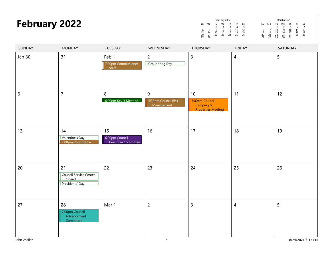| <b>February 2022</b> |                                                                  |                                                    |                                        | February 2022<br>Tu We<br>Th<br>Su Mo<br>$\frac{2}{9}$<br>$\frac{16}{23}$<br>$\frac{3}{10}$<br>$\frac{17}{24}$<br>$\begin{array}{c} 7 \\ 14 \\ 21 \\ 28 \end{array}$<br>$\begin{array}{c} 6 \\ 13 \\ 20 \\ 27 \end{array}$<br>$\begin{array}{c} 8 \\ 15 \\ 22 \end{array}$ | Fr<br>Su Mo<br>Sa<br>$\frac{5}{12}$<br>$\frac{12}{19}$<br>26<br>$\overline{4}$<br>$\frac{11}{18}$<br>$\frac{18}{25}$<br>$\begin{array}{c} 6 \\ 13 \\ 20 \\ 27 \end{array}$<br>$\begin{array}{c} 7 \\ 14 \\ 21 \\ 28 \end{array}$ | March 2022<br>Tu We<br>Th<br>Fr<br>Sa<br>$\frac{5}{12}$<br>$\frac{12}{19}$<br>26<br>$\overline{4}$<br>$\overline{3}$<br>$\frac{10}{17}$<br>$\frac{24}{31}$<br>$\frac{11}{18}$<br>25<br>$\frac{9}{16}$<br>$\frac{23}{30}$<br>$\frac{8}{15}$<br>22<br>29 |
|----------------------|------------------------------------------------------------------|----------------------------------------------------|----------------------------------------|----------------------------------------------------------------------------------------------------------------------------------------------------------------------------------------------------------------------------------------------------------------------------|----------------------------------------------------------------------------------------------------------------------------------------------------------------------------------------------------------------------------------|--------------------------------------------------------------------------------------------------------------------------------------------------------------------------------------------------------------------------------------------------------|
| SUNDAY               | <b>MONDAY</b>                                                    | TUESDAY                                            | WEDNESDAY                              | THURSDAY                                                                                                                                                                                                                                                                   | <b>FRIDAY</b>                                                                                                                                                                                                                    | SATURDAY                                                                                                                                                                                                                                               |
| <b>Jan 30</b>        | 31                                                               | Feb 1<br>7:00pm Commissioner<br>Staff              | $\overline{c}$<br>Groundhog Day        | 3                                                                                                                                                                                                                                                                          | $\overline{4}$                                                                                                                                                                                                                   | 5                                                                                                                                                                                                                                                      |
| 6                    | $\overline{7}$                                                   | 8<br>6:00pm Key 3 Meeting                          | 9<br>5:30pm Council Risk<br>Management | 10 <sup>°</sup><br>7:00pm Council<br>Camping &<br><b>Properties Meeting</b>                                                                                                                                                                                                | 11                                                                                                                                                                                                                               | 12                                                                                                                                                                                                                                                     |
| 13                   | 14<br>Valentine's Day<br>7:00pm Roundtable                       | 15<br>6:00pm Council<br><b>Executive Committee</b> | 16                                     | 17                                                                                                                                                                                                                                                                         | 18                                                                                                                                                                                                                               | 19                                                                                                                                                                                                                                                     |
| 20                   | 21<br><b>Council Service Center</b><br>Closed<br>Presidents' Day | 22                                                 | 23                                     | 24                                                                                                                                                                                                                                                                         | 25                                                                                                                                                                                                                               | 26                                                                                                                                                                                                                                                     |
| 27                   | 28<br>7:00pm Council<br>Advancement<br>Committee                 | Mar 1                                              | $\overline{c}$                         | $\overline{3}$                                                                                                                                                                                                                                                             | $\overline{4}$                                                                                                                                                                                                                   | 5                                                                                                                                                                                                                                                      |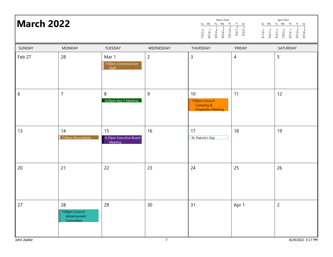|                   |       |    | March 2022 |          |    |                    |                |          |             | April 2022 |          |                      |  |
|-------------------|-------|----|------------|----------|----|--------------------|----------------|----------|-------------|------------|----------|----------------------|--|
| <b>March 2022</b> | Su Mo |    |            |          |    | Tu We Th Fr Sa     |                |          |             |            |          | Su Mo Tu We Th Fr Sa |  |
|                   | 27 28 | 29 | 23<br>30   | 1∩<br>24 | 25 | -12<br>-19<br>- 26 | 10<br>17<br>24 | 18<br>25 | 12<br>26 27 |            | 14<br>28 | 22<br>29 30          |  |
|                   |       |    |            |          |    |                    |                |          |             |            |          |                      |  |

| SUNDAY           | <b>MONDAY</b>                                    | TUESDAY                                 | WEDNESDAY      | THURSDAY                                                       | <b>FRIDAY</b>  | SATURDAY          |
|------------------|--------------------------------------------------|-----------------------------------------|----------------|----------------------------------------------------------------|----------------|-------------------|
| Feb 27           | 28                                               | Mar 1<br>7:00pm Commissioner<br>Staff   | $\overline{2}$ | $\mathsf{3}$                                                   | $\overline{4}$ | 5                 |
| $\boldsymbol{6}$ | $\overline{7}$                                   | $\, 8$<br>6:00pm Key 3 Meeting          | 9              | 10<br>7:00pm Council<br>Camping &<br><b>Properties Meeting</b> | 11             | 12                |
| 13               | 14<br>7:00pm Roundtable                          | 15<br>6:30pm Executive Board<br>Meeting | 16             | 17<br>St. Patrick's Day                                        | 18             | 19                |
| 20               | 21                                               | 22                                      | 23             | 24                                                             | 25             | 26                |
| 27               | 28<br>7:00pm Council<br>Advancement<br>Committee | 29                                      | 30             | 31                                                             | Apr 1          | $\overline{c}$    |
| John Zseller     |                                                  |                                         | $\overline{7}$ |                                                                |                | 8/24/2021 3:17 PM |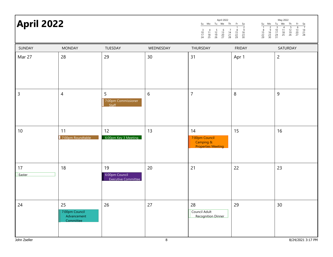## May 2022 **April 2022**

|                     |                |                | April 2022     |                |                     |                     |                     |                     |                      | May 2022      |                |                     |                |
|---------------------|----------------|----------------|----------------|----------------|---------------------|---------------------|---------------------|---------------------|----------------------|---------------|----------------|---------------------|----------------|
| Su                  | Mo             | Tu             | We             | Th             | Fr                  | Sa                  | Su                  | Mo                  | Tu                   | We            | Th             | Fr                  | Sa             |
| 3<br>10<br>17<br>24 | 11<br>18<br>25 | 12<br>19<br>26 | 13<br>20<br>27 | 14<br>21<br>28 | 8<br>15<br>22<br>29 | q<br>16<br>23<br>30 | 8<br>15<br>22<br>29 | 9<br>16<br>23<br>30 | 10<br>17<br>24<br>31 | 4<br>18<br>25 | 12<br>19<br>26 | 6<br>13<br>20<br>27 | 14<br>21<br>28 |

| SUNDAY         | <b>MONDAY</b>                                    | TUESDAY                                     | WEDNESDAY      | THURSDAY                                                       | <b>FRIDAY</b> | SATURDAY          |
|----------------|--------------------------------------------------|---------------------------------------------|----------------|----------------------------------------------------------------|---------------|-------------------|
| Mar 27         | 28                                               | 29                                          | 30             | 31                                                             | Apr 1         | $\overline{2}$    |
| $\overline{3}$ | $\overline{4}$                                   | 5<br>7:00pm Commissioner<br>$s$ taff        | $\sqrt{6}$     | $\overline{7}$                                                 | $\, 8$        | 9                 |
| $10$           | 11<br>7:00pm Roundtable                          | 12<br>6:00pm Key 3 Meeting                  | 13             | 14<br>7:00pm Council<br>Camping &<br><b>Properties Meeting</b> | 15            | 16                |
| 17<br>Easter   | 18                                               | 19<br>6:00pm Council<br>Executive Committee | 20             | 21                                                             | 22            | 23                |
| 24             | 25<br>7:00pm Council<br>Advancement<br>Committee | 26                                          | 27             | 28<br>Council Adult<br><b>Recognition Dinner</b>               | 29            | 30                |
| John Zseller   |                                                  |                                             | $8\phantom{1}$ |                                                                |               | 8/24/2021 3:17 PM |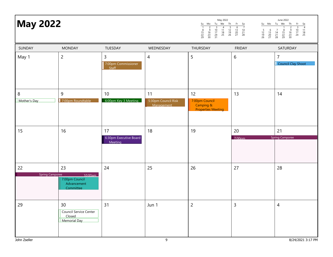15

22

| <b>May 2022</b>              |                                                                      |                                              |                                         | May 2022<br>Tu We<br>Th<br>Mo<br>Su<br>$\begin{array}{c}\n2 \\ 2 \\ 16 \\ 23 \\ 30\n\end{array}$<br>$\begin{array}{c}\n 3 \\  10 \\  17 \\  24 \\  31\n\end{array}$<br>$\begin{array}{c}\n4 \\ 11 \\ 18 \\ 25\n\end{array}$<br>$\frac{5}{12}$<br>$\frac{12}{19}$<br>26<br>$\frac{8}{15}$<br>22<br>29 | Su Mo Tu We<br>Fr<br>Sa<br>$\frac{7}{14}$<br>$\frac{14}{21}$<br>$\frac{21}{28}$<br>$\frac{6}{13}$<br>$\frac{13}{20}$<br>$\frac{20}{27}$<br>$\frac{5}{12}$<br>$\frac{12}{19}$<br>26<br>$\begin{array}{c} 6 \\ 13 \\ 20 \\ 27 \end{array}$ | June 2022<br>Th<br>Fr<br>Sa<br>$\frac{4}{11}$<br>$\frac{18}{25}$<br>$\begin{array}{c}\n3 \\ 10 \\ 17 \\ 24\n\end{array}$<br>$\frac{6}{9}$<br>$\frac{16}{23}$<br>$\frac{23}{30}$<br>$\frac{8}{15}$<br>22<br>29<br>$\begin{array}{c} 7 \\ 14 \\ 21 \\ 28 \end{array}$ |
|------------------------------|----------------------------------------------------------------------|----------------------------------------------|-----------------------------------------|------------------------------------------------------------------------------------------------------------------------------------------------------------------------------------------------------------------------------------------------------------------------------------------------------|------------------------------------------------------------------------------------------------------------------------------------------------------------------------------------------------------------------------------------------|---------------------------------------------------------------------------------------------------------------------------------------------------------------------------------------------------------------------------------------------------------------------|
| SUNDAY                       | <b>MONDAY</b>                                                        | TUESDAY                                      | WEDNESDAY                               | THURSDAY                                                                                                                                                                                                                                                                                             | <b>FRIDAY</b>                                                                                                                                                                                                                            | SATURDAY                                                                                                                                                                                                                                                            |
| May 1                        | $\overline{c}$                                                       | $\mathsf{3}$<br>7:00pm Commissioner<br>Staff | $\overline{4}$                          | 5                                                                                                                                                                                                                                                                                                    | 6                                                                                                                                                                                                                                        | $\overline{7}$<br>Council Clay Shoot                                                                                                                                                                                                                                |
| 8<br>Mother's Day            | 9<br>7:00pm Roundtable                                               | 10<br>6:00pm Key 3 Meeting                   | 11<br>5:30pm Council Risk<br>Management | 12<br>7:00pm Council<br>Camping &<br><b>Properties Meeting</b>                                                                                                                                                                                                                                       | 13                                                                                                                                                                                                                                       | 14                                                                                                                                                                                                                                                                  |
| 15                           | 16                                                                   | 17<br>6:30pm Executive Board<br>Meeting      | 18                                      | 19                                                                                                                                                                                                                                                                                                   | 20<br>7.00 <sub>nm</sub>                                                                                                                                                                                                                 | 21<br><b>Spring Camporee</b>                                                                                                                                                                                                                                        |
| 22<br><b>Spring Camporee</b> | 23<br>10:00am<br>7:00pm Council<br>Advancement<br>Committee          | 24                                           | 25                                      | 26                                                                                                                                                                                                                                                                                                   | 27                                                                                                                                                                                                                                       | 28                                                                                                                                                                                                                                                                  |
| 29                           | 30<br><b>Council Service Center</b><br>Closed<br><b>Memorial Day</b> | 31                                           | Jun 1                                   | $\overline{c}$                                                                                                                                                                                                                                                                                       | $\mathsf 3$                                                                                                                                                                                                                              | $\overline{4}$                                                                                                                                                                                                                                                      |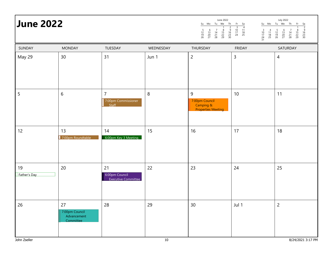|                  |    |                      |    | June 2022 |                |      |          |                      |    | <b>July 2022</b> |
|------------------|----|----------------------|----|-----------|----------------|------|----------|----------------------|----|------------------|
| <b>June 2022</b> |    | Su Mo Tu We Th Fr Sa |    |           |                |      |          |                      |    | Su Mo Tu We      |
|                  | 19 | 20<br>26 27 28 29 30 | 14 | $\sim$ 22 | 10 11<br>24 25 | - 18 | 10<br>31 | 17 18<br>24 25 26 27 | 19 |                  |

| Su                        | Mo             | Tu                  | <br>We              | Th             | Fr                  | Sa                  |  |
|---------------------------|----------------|---------------------|---------------------|----------------|---------------------|---------------------|--|
| 3<br>10<br>17<br>24<br>31 | 11<br>18<br>25 | 5<br>12<br>19<br>26 | 6<br>13<br>20<br>27 | 14<br>21<br>28 | 8<br>15<br>22<br>29 | 9<br>16<br>23<br>30 |  |

| SUNDAY             | <b>MONDAY</b>                                    | TUESDAY                                        | WEDNESDAY      | THURSDAY                                                      | <b>FRIDAY</b> | SATURDAY          |
|--------------------|--------------------------------------------------|------------------------------------------------|----------------|---------------------------------------------------------------|---------------|-------------------|
| May 29             | 30                                               | 31                                             | Jun 1          | $\overline{c}$                                                | 3             | $\overline{4}$    |
| 5                  | $\sqrt{6}$                                       | $\overline{7}$<br>7:00pm Commissioner<br>Staff | $8\phantom{1}$ | 9<br>7:00pm Council<br>Camping &<br><b>Properties Meeting</b> | $10$          | 11                |
| 12                 | 13<br>7:00pm Roundtable                          | 14<br>6:00pm Key 3 Meeting                     | 15             | 16                                                            | 17            | 18                |
| 19<br>Father's Day | 20                                               | 21<br>6:00pm Council<br>Executive Committee    | 22             | 23                                                            | 24            | 25                |
| 26                 | 27<br>7:00pm Council<br>Advancement<br>Committee | 28                                             | 29             | $30\,$                                                        | Jul 1         | $\overline{2}$    |
| John Zseller       |                                                  |                                                | 10             |                                                               |               | 8/24/2021 3:17 PM |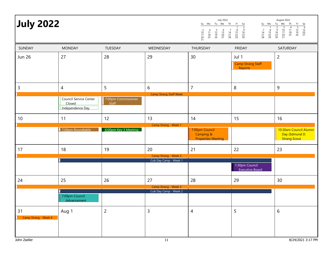| <b>July 2022</b>           |                                                             |                                     |                                               | <b>July 2022</b><br>Su Mo Tu We Th<br>4 5 6<br>11 12 13<br>18 19 20<br>25 26 27<br>$\begin{array}{c} 7 \\ 14 \\ 21 \\ 28 \end{array}$<br>$\frac{3}{10}$<br>$\frac{17}{24}$<br>$\frac{24}{31}$ | Fr<br>Su Mo<br>$\begin{array}{r} 6a \\ \hline 2 \\ 9 \\ 16 \\ 23 \\ 30 \end{array}$<br>$\overline{1}$<br>$\begin{array}{c} 7 \\ 14 \\ 21 \\ 28 \end{array}$<br>$\frac{8}{15}$<br>22<br>29<br>$\frac{8}{15}$<br>22<br>29 | August 2022<br>Tu We<br>Th<br>Fr<br>$\begin{array}{r} 5a \\ \hline 6 \\ 13 \\ 20 \\ 27 \end{array}$<br>$\frac{5}{12}$<br>$\frac{12}{19}$<br>26<br>$\begin{array}{c}\n 3 \\  10 \\  17 \\  24 \\  31\n\end{array}$<br>$\frac{4}{11}$<br>$\frac{18}{25}$<br>$\overline{c}$<br>$\frac{6}{9}$<br>$\frac{16}{23}$<br>$\frac{23}{30}$ |
|----------------------------|-------------------------------------------------------------|-------------------------------------|-----------------------------------------------|-----------------------------------------------------------------------------------------------------------------------------------------------------------------------------------------------|-------------------------------------------------------------------------------------------------------------------------------------------------------------------------------------------------------------------------|---------------------------------------------------------------------------------------------------------------------------------------------------------------------------------------------------------------------------------------------------------------------------------------------------------------------------------|
| SUNDAY                     | <b>MONDAY</b>                                               | TUESDAY                             | WEDNESDAY                                     | THURSDAY                                                                                                                                                                                      | <b>FRIDAY</b>                                                                                                                                                                                                           | SATURDAY                                                                                                                                                                                                                                                                                                                        |
| <b>Jun 26</b>              | 27                                                          | 28                                  | 29                                            | 30                                                                                                                                                                                            | Jul 1<br><b>Camp Strang Staff</b><br><b>Reports</b>                                                                                                                                                                     | $\overline{c}$                                                                                                                                                                                                                                                                                                                  |
| 3                          | $\overline{4}$                                              | 5                                   | 6                                             | $\overline{7}$                                                                                                                                                                                | 8                                                                                                                                                                                                                       | 9                                                                                                                                                                                                                                                                                                                               |
|                            | <b>Council Service Center</b><br>Closed<br>Independence Day | 7:00pm Commissioner<br><b>Staff</b> | <b>Camp Strang Staff Week</b>                 |                                                                                                                                                                                               |                                                                                                                                                                                                                         |                                                                                                                                                                                                                                                                                                                                 |
| 10                         | 11                                                          | 12                                  | 13                                            | 14                                                                                                                                                                                            | 15                                                                                                                                                                                                                      | 16                                                                                                                                                                                                                                                                                                                              |
|                            | 7:00pm Roundtable                                           | 6:00pm Key 3 Meeting                | Camp Strang - Week 1                          | 7:00pm Council<br>Camping &<br><b>Properties Meeting</b>                                                                                                                                      |                                                                                                                                                                                                                         | 10:30am Council Alumni<br>Day (Edmund D.<br><b>Strang Scout</b>                                                                                                                                                                                                                                                                 |
| 17                         | 18                                                          | 19                                  | 20                                            | 21                                                                                                                                                                                            | 22                                                                                                                                                                                                                      | 23                                                                                                                                                                                                                                                                                                                              |
|                            |                                                             |                                     | Camp Strang - Week 2<br>Cub Day Camp - Week 1 |                                                                                                                                                                                               |                                                                                                                                                                                                                         |                                                                                                                                                                                                                                                                                                                                 |
|                            |                                                             |                                     |                                               |                                                                                                                                                                                               | 1:30pm Council<br><b>Executive Board</b>                                                                                                                                                                                |                                                                                                                                                                                                                                                                                                                                 |
| 24                         | 25                                                          | 26                                  | 27<br>Camp Strang - Week 3                    | 28                                                                                                                                                                                            | 29                                                                                                                                                                                                                      | 30                                                                                                                                                                                                                                                                                                                              |
|                            |                                                             |                                     | Cub Day Camp - Week 2                         |                                                                                                                                                                                               |                                                                                                                                                                                                                         |                                                                                                                                                                                                                                                                                                                                 |
|                            | 7:00pm Council<br>Advancement                               |                                     |                                               |                                                                                                                                                                                               |                                                                                                                                                                                                                         |                                                                                                                                                                                                                                                                                                                                 |
| 31<br>Camp Strang - Week 4 | Aug 1                                                       | $\overline{2}$                      | $\mathsf{3}$                                  | 4                                                                                                                                                                                             | 5                                                                                                                                                                                                                       | 6                                                                                                                                                                                                                                                                                                                               |
| John Zseller               |                                                             |                                     | $11\,$                                        |                                                                                                                                                                                               |                                                                                                                                                                                                                         | 8/24/2021 3:17 PM                                                                                                                                                                                                                                                                                                               |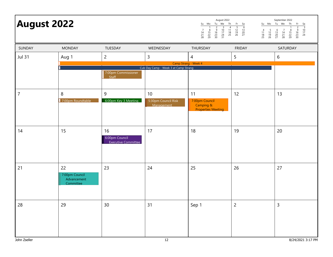| <b>August 2022</b> |                                                  |                                                    | August 2022<br>Su Mo<br>Tu We<br>$\begin{array}{c}\n2 \\ 9 \\ 16 \\ 23 \\ 30\n\end{array}$<br>$\begin{array}{c}\n 3 \\  10 \\  17 \\  24 \\  31\n\end{array}$<br>$\frac{8}{15}$<br>22<br>29<br>$\overline{7}$<br>$\frac{14}{21}$<br>28 | Th<br>Fr<br>Sa<br>$\frac{-1}{6}$<br>13<br>20<br>27<br>$\frac{5}{12}$<br>$\frac{12}{19}$<br>26<br>$\begin{array}{c}\n4 \\ 11 \\ 18 \\ 25\n\end{array}$ | September 2022<br>Su Mo Tu We<br>Th<br>Fr<br>$\begin{array}{r} 5a \\ \hline 3 \\ 10 \\ 17 \\ 24 \end{array}$<br>$\begin{array}{c}\n2 \\ 2 \\ 16 \\ 23 \\ 30\n\end{array}$<br>$\frac{5}{12}$<br>$\frac{12}{19}$<br>26<br>$\begin{array}{c} 6 \\ 13 \\ 20 \\ 27 \end{array}$<br>$\frac{8}{15}$<br>22<br>29<br>$\begin{array}{c} 4 \\ 11 \\ 18 \\ 25 \end{array}$<br>$\begin{array}{c} 7 \\ 14 \\ 21 \\ 28 \end{array}$ |                        |  |
|--------------------|--------------------------------------------------|----------------------------------------------------|----------------------------------------------------------------------------------------------------------------------------------------------------------------------------------------------------------------------------------------|-------------------------------------------------------------------------------------------------------------------------------------------------------|----------------------------------------------------------------------------------------------------------------------------------------------------------------------------------------------------------------------------------------------------------------------------------------------------------------------------------------------------------------------------------------------------------------------|------------------------|--|
| SUNDAY             | <b>MONDAY</b>                                    | TUESDAY                                            | WEDNESDAY                                                                                                                                                                                                                              | THURSDAY                                                                                                                                              | <b>FRIDAY</b>                                                                                                                                                                                                                                                                                                                                                                                                        | SATURDAY               |  |
| <b>Jul 31</b>      | Aug 1                                            | $\overline{c}$                                     | 3                                                                                                                                                                                                                                      | $\overline{4}$                                                                                                                                        | 5                                                                                                                                                                                                                                                                                                                                                                                                                    | 6                      |  |
|                    |                                                  | 7:00pm Commissioner<br>Staff                       | Cub Day Camp - Week 3 at Camp Strang                                                                                                                                                                                                   | Camp Strang - Week 4                                                                                                                                  |                                                                                                                                                                                                                                                                                                                                                                                                                      |                        |  |
| $\overline{7}$     | 8<br>7:00pm Roundtable                           | 9<br>6:00pm Key 3 Meeting                          | 10<br>5:30pm Council Risk<br>Management                                                                                                                                                                                                | 11<br>7:00pm Council<br>Camping &<br><b>Properties Meeting</b>                                                                                        | 12                                                                                                                                                                                                                                                                                                                                                                                                                   | 13                     |  |
| 14                 | 15                                               | 16<br>6:00pm Council<br><b>Executive Committee</b> | 17                                                                                                                                                                                                                                     | 18                                                                                                                                                    | 19                                                                                                                                                                                                                                                                                                                                                                                                                   | 20                     |  |
| 21                 | 22<br>7:00pm Council<br>Advancement<br>Committee | 23                                                 | 24                                                                                                                                                                                                                                     | 25                                                                                                                                                    | 26                                                                                                                                                                                                                                                                                                                                                                                                                   | 27                     |  |
| 28<br>John Zseller | 29                                               | 30                                                 | 31<br>12                                                                                                                                                                                                                               | Sep 1                                                                                                                                                 | $\mathsf{2}\,$                                                                                                                                                                                                                                                                                                                                                                                                       | 3<br>8/24/2021 3:17 PM |  |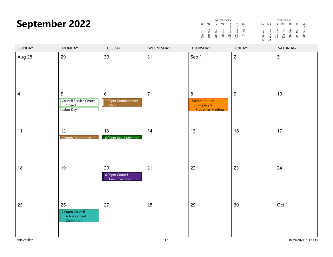| <b>September 2022</b> |                                                    |                                                | September 2022<br>October 2022<br>Tu We Th<br>Su Mo Tu We Th<br>Su Mo<br>Fr<br>Fr.<br>Sa<br>Sa<br>$\frac{3}{10}$<br>$\frac{17}{24}$<br>$\begin{array}{c}\n2 \\ 2 \\ 16 \\ 23 \\ 30\n\end{array}$<br>$\begin{array}{c} 5 \\ 12 \\ 19 \\ 26 \end{array}$<br>$\begin{array}{c} 6 \\ 13 \\ 20 \\ 27 \end{array}$<br>$\begin{array}{c} 7 \\ 14 \\ 21 \\ 28 \end{array}$<br>$\begin{array}{ccc} 2 & 3 \\ 9 & 10 \\ 16 & 17 \\ 23 & 24 \\ 30 & 31 \end{array}$<br>$\begin{array}{c} 4 \\ 11 \\ 18 \\ 25 \end{array}$<br>$\frac{5}{12}$<br>$\frac{12}{19}$<br>26<br>$\begin{array}{c} 6 \\ 13 \\ 20 \\ 27 \end{array}$<br>$\frac{8}{15}$<br>22<br>29<br>$\begin{array}{ccc} & 7 & 8 \\ 14 & 15 \\ 21 & 22 \\ 28 & 29 \end{array}$<br>$\begin{array}{c} 4 \\ 11 \\ 18 \\ 25 \end{array}$ |                                                               |                |                 |
|-----------------------|----------------------------------------------------|------------------------------------------------|---------------------------------------------------------------------------------------------------------------------------------------------------------------------------------------------------------------------------------------------------------------------------------------------------------------------------------------------------------------------------------------------------------------------------------------------------------------------------------------------------------------------------------------------------------------------------------------------------------------------------------------------------------------------------------------------------------------------------------------------------------------------------------|---------------------------------------------------------------|----------------|-----------------|
| SUNDAY                | <b>MONDAY</b>                                      | TUESDAY                                        | WEDNESDAY                                                                                                                                                                                                                                                                                                                                                                                                                                                                                                                                                                                                                                                                                                                                                                       | THURSDAY                                                      | <b>FRIDAY</b>  | SATURDAY        |
| Aug 28                | 29                                                 | 30                                             | 31                                                                                                                                                                                                                                                                                                                                                                                                                                                                                                                                                                                                                                                                                                                                                                              | Sep 1                                                         | $\overline{c}$ | $\mathsf{3}$    |
| $\overline{4}$        | 5<br>Council Service Center<br>Closed<br>Labor Day | 6<br>7:00pm Commissioner<br>S <sub>ta</sub>    | $\overline{7}$                                                                                                                                                                                                                                                                                                                                                                                                                                                                                                                                                                                                                                                                                                                                                                  | 8<br>7:00pm Council<br>Camping &<br><b>Properties Meeting</b> | 9              | 10 <sup>°</sup> |
| 11                    | 12<br>7:00pm Roundtable                            | 13<br>6:00pm Key 3 Meeting                     | 14                                                                                                                                                                                                                                                                                                                                                                                                                                                                                                                                                                                                                                                                                                                                                                              | 15                                                            | 16             | 17              |
| 18                    | 19                                                 | 20<br>6:00pm Council<br><b>Executive Board</b> | 21                                                                                                                                                                                                                                                                                                                                                                                                                                                                                                                                                                                                                                                                                                                                                                              | 22                                                            | 23             | 24              |
| 25                    | 26<br>7:00pm Council<br>Advancement<br>Committee   | 27                                             | 28                                                                                                                                                                                                                                                                                                                                                                                                                                                                                                                                                                                                                                                                                                                                                                              | 29                                                            | 30             | Oct 1           |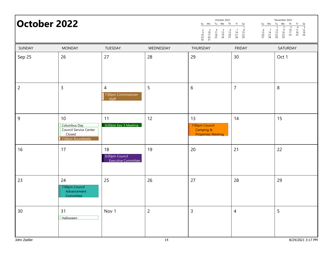| October 2022   |                                                                             |                                                | October 2022<br>November 2022<br>Tu We Th<br>Tu We<br>Su Mo<br>Fr Sa<br>Su Mo<br>Th<br>Fr<br>Sa<br>$\frac{5}{12}$<br>$\frac{12}{19}$<br>26<br>$\overline{4}$<br>$\begin{array}{c} 6 \\ 13 \\ 20 \\ 27 \end{array}$<br>$\begin{array}{c} 6 \\ 13 \\ 20 \\ 27 \end{array}$<br>$\frac{5}{12}$<br>$\frac{12}{19}$<br>26<br>$\begin{array}{c} 7 \\ 14 \\ 21 \\ 28 \end{array}$<br>9<br>$\frac{10}{17}$<br>24<br>$\frac{11}{18}$<br>25<br>$\begin{array}{c} 3 \\ 10 \\ 17 \\ 24 \\ 31 \end{array}$<br>$\begin{array}{c} 4 \\ 11 \\ 18 \\ 25 \end{array}$<br>$\overline{7}$<br>$\frac{8}{15}$<br>22<br>29<br>$\begin{array}{c} 2 \\ 9 \\ 16 \\ 23 \\ 30 \end{array}$<br>8<br>$\begin{array}{c} 14 \\ 21 \\ 28 \end{array}$<br>$\begin{array}{c}\n 16 \\  23 \\  30\n \end{array}$<br>$\frac{15}{22}$<br>22 |                                                                |                |          |
|----------------|-----------------------------------------------------------------------------|------------------------------------------------|-----------------------------------------------------------------------------------------------------------------------------------------------------------------------------------------------------------------------------------------------------------------------------------------------------------------------------------------------------------------------------------------------------------------------------------------------------------------------------------------------------------------------------------------------------------------------------------------------------------------------------------------------------------------------------------------------------------------------------------------------------------------------------------------------------|----------------------------------------------------------------|----------------|----------|
| SUNDAY         | <b>MONDAY</b>                                                               | TUESDAY                                        | WEDNESDAY                                                                                                                                                                                                                                                                                                                                                                                                                                                                                                                                                                                                                                                                                                                                                                                           | THURSDAY                                                       | <b>FRIDAY</b>  | SATURDAY |
| Sep 25         | 26                                                                          | 27                                             | 28                                                                                                                                                                                                                                                                                                                                                                                                                                                                                                                                                                                                                                                                                                                                                                                                  | 29                                                             | 30             | Oct 1    |
| $\overline{2}$ | $\overline{3}$                                                              | $\overline{4}$<br>7:00pm Commissioner<br>Staff | 5                                                                                                                                                                                                                                                                                                                                                                                                                                                                                                                                                                                                                                                                                                                                                                                                   | 6                                                              | $\overline{7}$ | $\,8\,$  |
| 9              | 10<br>Columbus Day<br>Council Service Center<br>Closed<br>7:00pm Roundtable | 11<br>6:00pm Key 3 Meeting                     | 12                                                                                                                                                                                                                                                                                                                                                                                                                                                                                                                                                                                                                                                                                                                                                                                                  | 13<br>7:00pm Council<br>Camping &<br><b>Properties Meeting</b> | 14             | 15       |
| 16             | 17                                                                          | 18<br>6:00pm Council<br>Executive Committee    | 19                                                                                                                                                                                                                                                                                                                                                                                                                                                                                                                                                                                                                                                                                                                                                                                                  | 20                                                             | 21             | 22       |
| 23             | 24<br>7:00pm Council<br>Advancement<br>Committee                            | 25                                             | 26                                                                                                                                                                                                                                                                                                                                                                                                                                                                                                                                                                                                                                                                                                                                                                                                  | 27                                                             | 28             | 29       |
| 30             | 31<br>Halloween                                                             | Nov 1                                          | $\overline{2}$                                                                                                                                                                                                                                                                                                                                                                                                                                                                                                                                                                                                                                                                                                                                                                                      | 3                                                              | 4              | 5        |

9

16

23

30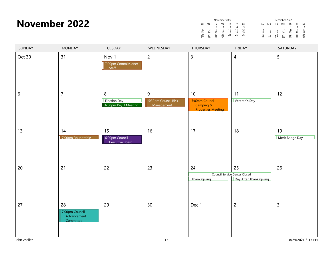|        | <b>November 2022</b>                             |                                                  | November 2022<br>December 2022<br>Tu We<br>Tu We<br>Th<br>Su Mo<br>Th<br>Su Mo<br>Fr<br>Fr<br>Sa<br>Sa<br>$\begin{array}{r} \hline 3 \\ 10 \\ 17 \\ 24 \\ 31 \end{array}$<br>$\frac{5}{12}$<br>$\frac{12}{19}$<br>26<br>$\begin{array}{c}\n 3 \\  10 \\  17 \\  24\n\end{array}$<br>$\begin{array}{c}\n4 \\ 11 \\ 18 \\ 25\n\end{array}$<br>$\frac{2}{9}$<br>$\frac{16}{23}$<br>30<br>$\begin{array}{c}\n2 \\ 9 \\ 16 \\ 23 \\ 30\n\end{array}$<br>$\begin{array}{c} 7 \\ 14 \\ 21 \\ 28 \end{array}$<br>$\frac{8}{15}$<br>22<br>29<br>$\begin{array}{c} 6 \\ 13 \\ 20 \\ 27 \end{array}$<br>$\frac{5}{12}$<br>$\frac{12}{19}$<br>26<br>$\begin{array}{c} 6 \\ 13 \\ 20 \\ 27 \end{array}$<br>$\begin{array}{c} 4 \\ 11 \\ 18 \\ 25 \end{array}$<br>$\begin{array}{c} 7 \\ 14 \\ 21 \\ 28 \end{array}$<br>$\frac{8}{15}$<br>22<br>29 |                                                                |                                                                      |                       |
|--------|--------------------------------------------------|--------------------------------------------------|--------------------------------------------------------------------------------------------------------------------------------------------------------------------------------------------------------------------------------------------------------------------------------------------------------------------------------------------------------------------------------------------------------------------------------------------------------------------------------------------------------------------------------------------------------------------------------------------------------------------------------------------------------------------------------------------------------------------------------------------------------------------------------------------------------------------------------------|----------------------------------------------------------------|----------------------------------------------------------------------|-----------------------|
| SUNDAY | <b>MONDAY</b>                                    | TUESDAY                                          | WEDNESDAY                                                                                                                                                                                                                                                                                                                                                                                                                                                                                                                                                                                                                                                                                                                                                                                                                            | THURSDAY                                                       | <b>FRIDAY</b>                                                        | SATURDAY              |
| Oct 30 | 31                                               | Nov 1<br>7:00pm Commissioner<br>Staff            | $\overline{2}$                                                                                                                                                                                                                                                                                                                                                                                                                                                                                                                                                                                                                                                                                                                                                                                                                       | 3                                                              | 4                                                                    | 5                     |
| 6      | $\overline{7}$                                   | 8<br><b>Election Day</b><br>6:00pm Key 3 Meeting | 9<br>5:30pm Council Risk<br>Management                                                                                                                                                                                                                                                                                                                                                                                                                                                                                                                                                                                                                                                                                                                                                                                               | 10<br>7:00pm Council<br>Camping &<br><b>Properties Meeting</b> | 11<br>Veteran's Day                                                  | 12                    |
| 13     | 14<br>7:00pm Roundtable                          | 15<br>6:00pm Council<br><b>Executive Board</b>   | 16                                                                                                                                                                                                                                                                                                                                                                                                                                                                                                                                                                                                                                                                                                                                                                                                                                   | 17                                                             | 18                                                                   | 19<br>Merit Badge Day |
| 20     | 21                                               | 22                                               | 23                                                                                                                                                                                                                                                                                                                                                                                                                                                                                                                                                                                                                                                                                                                                                                                                                                   | 24<br>Thanksgiving                                             | 25<br><b>Council Service Center Closed</b><br>Day After Thanksgiving | 26                    |
| 27     | 28<br>7:00pm Council<br>Advancement<br>Committee | 29                                               | 30                                                                                                                                                                                                                                                                                                                                                                                                                                                                                                                                                                                                                                                                                                                                                                                                                                   | Dec 1                                                          | 2                                                                    | 3                     |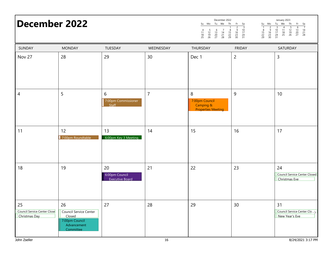| <b>December 2022</b>                                       |                                                                                             |                                                |                | December 2022<br>January 2023<br>Tu We<br>Tu We<br>Th<br>Th<br>Su Mo<br>Mo<br>Fr<br>Sa<br>Su<br>Fr<br>Sa<br>$\overline{1}$<br>$\overline{\mathbf{3}}$<br>$\overline{7}$<br>$\begin{array}{c}\n2 \\ 9 \\ 16 \\ 23 \\ 30\n\end{array}$<br>$\overline{3}$<br>$\frac{5}{12}$<br>$\frac{12}{19}$<br>26<br>$\overline{4}$<br>6<br>$\frac{6}{16}$<br>$\frac{16}{23}$<br>$\frac{23}{30}$<br>$\frac{10}{17}$<br>$\frac{24}{31}$<br>$\frac{8}{15}$<br>22<br>29<br>$\frac{10}{17}$<br>$\frac{17}{24}$<br>$\frac{24}{31}$<br>$\begin{array}{c} 14 \\ 21 \\ 28 \end{array}$<br>$\frac{11}{18}$<br>$\frac{18}{25}$<br>$\frac{13}{20}$<br>27<br>$\frac{5}{12}$<br>$\frac{12}{19}$<br>26<br>$\begin{array}{c} 6 \\ 13 \\ 20 \\ 27 \end{array}$<br>$\overline{7}$<br>$\frac{8}{15}$<br>22<br>29<br>$\begin{array}{c} 4 \\ 11 \\ 18 \\ 25 \end{array}$<br>$\begin{array}{c} 14 \\ 21 \\ 28 \end{array}$ |                  |                                                             |  |
|------------------------------------------------------------|---------------------------------------------------------------------------------------------|------------------------------------------------|----------------|---------------------------------------------------------------------------------------------------------------------------------------------------------------------------------------------------------------------------------------------------------------------------------------------------------------------------------------------------------------------------------------------------------------------------------------------------------------------------------------------------------------------------------------------------------------------------------------------------------------------------------------------------------------------------------------------------------------------------------------------------------------------------------------------------------------------------------------------------------------------------------------|------------------|-------------------------------------------------------------|--|
| SUNDAY                                                     | <b>MONDAY</b>                                                                               | TUESDAY                                        | WEDNESDAY      | THURSDAY                                                                                                                                                                                                                                                                                                                                                                                                                                                                                                                                                                                                                                                                                                                                                                                                                                                                              | <b>FRIDAY</b>    | SATURDAY                                                    |  |
| Nov 27                                                     | 28                                                                                          | 29                                             | 30             | Dec 1                                                                                                                                                                                                                                                                                                                                                                                                                                                                                                                                                                                                                                                                                                                                                                                                                                                                                 | $\overline{c}$   | $\mathsf{3}$                                                |  |
| $\overline{4}$                                             | 5                                                                                           | 6<br>7:00pm Commissioner<br>Staff              | $\overline{7}$ | 8<br>7:00pm Council<br>Camping &<br><b>Properties Meeting</b>                                                                                                                                                                                                                                                                                                                                                                                                                                                                                                                                                                                                                                                                                                                                                                                                                         | $\boldsymbol{9}$ | 10                                                          |  |
| 11                                                         | 12<br>7:00pm Roundtable                                                                     | 13<br>6:00pm Key 3 Meeting                     | 14             | 15                                                                                                                                                                                                                                                                                                                                                                                                                                                                                                                                                                                                                                                                                                                                                                                                                                                                                    | 16               | 17                                                          |  |
| 18                                                         | 19                                                                                          | 20<br>6:00pm Council<br><b>Executive Board</b> | 21             | 22                                                                                                                                                                                                                                                                                                                                                                                                                                                                                                                                                                                                                                                                                                                                                                                                                                                                                    | 23               | 24<br>Council Service Center Closed<br><b>Christmas Eve</b> |  |
| 25<br>Council Service Center Close<br><b>Christmas Day</b> | 26<br><b>Council Service Center</b><br>Closed<br>7:00pm Council<br>Advancement<br>Committee | 27                                             | 28             | 29                                                                                                                                                                                                                                                                                                                                                                                                                                                                                                                                                                                                                                                                                                                                                                                                                                                                                    | 30               | 31<br>Council Service Center Clo ><br>New Year's Eve        |  |